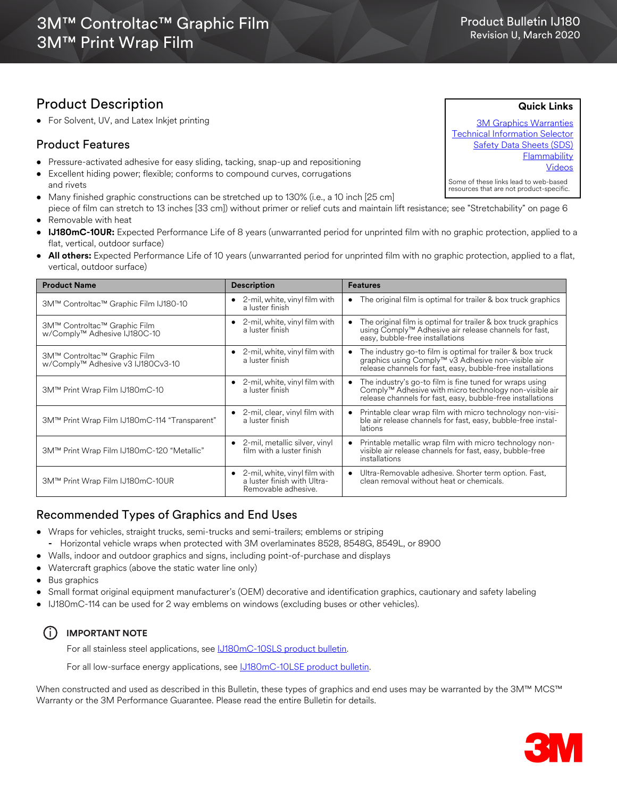## Product Description

• For Solvent, UV, and Latex Inkjet printing

#### Product Features

- Pressure-activated adhesive for easy sliding, tacking, snap-up and repositioning
- Excellent hiding power; flexible; conforms to compound curves, corrugations and rivets
- Many finished graphic constructions can be stretched up to 130% (i.e., a 10 inch [25 cm]
- piece of film can stretch to 13 inches [33 cm]) without primer or relief cuts and maintain lift resistance; see "Stretchability" on page 6 • Removable with heat
- **IJ180mC-10UR:** Expected Performance Life of 8 years (unwarranted period for unprinted film with no graphic protection, applied to a flat, vertical, outdoor surface)
- **All others:** Expected Performance Life of 10 years (unwarranted period for unprinted film with no graphic protection, applied to a flat, vertical, outdoor surface)

| <b>Product Name</b>                                               | <b>Description</b>                                                                            | <b>Features</b>                                                                                                                                                                              |  |  |
|-------------------------------------------------------------------|-----------------------------------------------------------------------------------------------|----------------------------------------------------------------------------------------------------------------------------------------------------------------------------------------------|--|--|
| 3M™ Controltac™ Graphic Film IJ180-10                             | $\bullet$ 2-mil, white, vinyl film with<br>a luster finish                                    | The original film is optimal for trailer & box truck graphics<br>$\bullet$                                                                                                                   |  |  |
| 3M™ Controltac™ Graphic Film<br>w/Comply™ Adhesive IJ180C-10      | 2-mil, white, vinyl film with<br>a luster finish                                              | The original film is optimal for trailer & box truck graphics<br>using Comply™ Adhesive air release channels for fast,<br>easy, bubble-free installations                                    |  |  |
| 3M™ Controltac™ Graphic Film<br>w/Comply™ Adhesive v3 IJ180Cv3-10 | $\bullet$ 2-mil, white, vinyl film with<br>a luster finish                                    | The industry go-to film is optimal for trailer & box truck<br>graphics using Comply™ v3 Adhesive non-visible air<br>$\bullet$<br>release channels for fast, easy, bubble-free installations  |  |  |
| 3M™ Print Wrap Film IJ180mC-10                                    | 2-mil, white, vinyl film with<br>a luster finish                                              | The industry's go-to film is fine tuned for wraps using<br>$\bullet$<br>Comply™ Adhesive with micro technology non-visible air<br>release channels for fast, easy, bubble-free installations |  |  |
| 3M™ Print Wrap Film IJ180mC-114 "Transparent"                     | • 2-mil, clear, vinyl film with<br>a luster finish                                            | Printable clear wrap film with micro technology non-visi-<br>$\bullet$<br>ble air release channels for fast, easy, bubble-free instal-<br>lations                                            |  |  |
| 3M™ Print Wrap Film IJ180mC-120 "Metallic"                        | 2-mil, metallic silver, vinyl<br>film with a luster finish                                    | Printable metallic wrap film with micro technology non-<br>$\bullet$<br>visible air release channels for fast, easy, bubble-free<br>installations                                            |  |  |
| 3M™ Print Wrap Film IJ180mC-10UR                                  | $\bullet$ 2-mil, white, vinyl film with<br>a luster finish with Ultra-<br>Removable adhesive. | Ultra-Removable adhesive. Shorter term option. Fast,<br>$\bullet$<br>clean removal without heat or chemicals.                                                                                |  |  |

### Recommended Types of Graphics and End Uses

- Wraps for vehicles, straight trucks, semi-trucks and semi-trailers; emblems or striping **-** Horizontal vehicle wraps when protected with 3M overlaminates 8528, 8548G, 8549L, or 8900
- Walls, indoor and outdoor graphics and signs, including point-of-purchase and displays
- Watercraft graphics (above the static water line only)
- Bus graphics
- Small format original equipment manufacturer's (OEM) decorative and identification graphics, cautionary and safety labeling
- IJ180mC-114 can be used for 2 way emblems on windows (excluding buses or other vehicles).

#### i **IMPORTANT NOTE**

For all stainless steel applications, see **LJ180mC-10SLS** product bulletin.

For all low-surface energy applications, see  $J180$ mC-10LSE product bulletin.

When constructed and used as described in this Bulletin, these types of graphics and end uses may be warranted by the 3M™ MCS™ Warranty or the 3M Performance Guarantee. Please read the entire Bulletin for details.



**Quick Links**

Product Bulletin IJ180 Revision U, March 2020

[3M Graphics Warranties](http://solutions.3m.com/wps/portal/3M/en_US/Graphics/3Mgraphics/ToolsandSupport/Warranties/?WT.mc_id=www.3mgraphics.com/warranties) [Technical Information Selector](http://solutions.3m.com/wps/portal/3M/en_US/Graphics/3Mgraphics/ToolsAndSupport/TechnicalInformation/) [Safety Data Sheets \(SDS\)](http://solutions.3m.com/wps/portal/3M/en_WW/MSDS/Search?gsaAction=msdsSRA) **Flammability** [Videos](http://solutions.3m.com/wps/portal/3M/en_US/Graphics/3Mgraphics/ToolsAndSupport/Videos/)

Some of these links lead to web-based resources that are not product-specific.

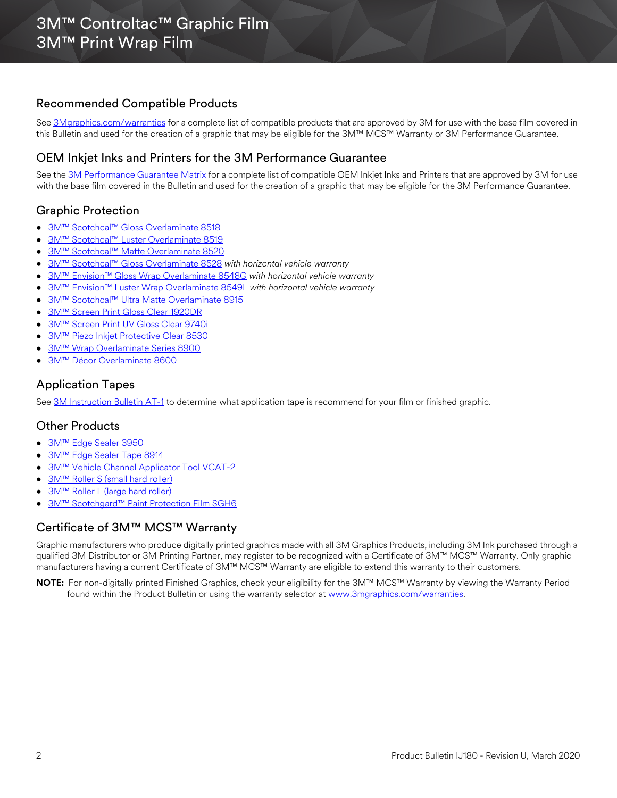### Recommended Compatible Products

See [3Mgraphics.com/warranties](http://solutions.3m.com/wps/portal/3M/en_US/Graphics/3Mgraphics/ToolsandSupport/Warranties/?WT.mc_id=www.3mgraphics.com/warranties) for a complete list of compatible products that are approved by 3M for use with the base film covered in this Bulletin and used for the creation of a graphic that may be eligible for the 3M™ MCS™ Warranty or 3M Performance Guarantee.

### OEM Inkjet Inks and Printers for the 3M Performance Guarantee

See the [3M Performance Guarantee Matrix](http://multimedia.3m.com/mws/media/443364O/pg-printer-ink-film-linked-warranty-matrix.pdf?fn=PG%20Warranty%20Matrix.pdf) for a complete list of compatible OEM Inkjet Inks and Printers that are approved by 3M for use with the base film covered in the Bulletin and used for the creation of a graphic that may be eligible for the 3M Performance Guarantee.

### Graphic Protection

- [3M™ Scotchcal™ Gloss Overlaminate 8518](http://multimedia.3m.com/mws/media/1095387O/3m-scotchcal-overlaminate-product-bulletin.pdf)
- [3M™ Scotchcal™ Luster Overlaminate 8519](http://multimedia.3m.com/mws/media/1095387O/3m-scotchcal-overlaminate-product-bulletin.pdf)
- [3M™ Scotchcal™ Matte Overlaminate 8520](http://multimedia.3m.com/mws/media/1095387O/3m-scotchcal-overlaminate-product-bulletin.pdf)
- [3M™ Scotchcal™ Gloss Overlaminate 8528](http://multimedia.3m.com/mws/media/558531O/product-bulletin-gp-1.pdf) *with horizontal vehicle warranty*
- [3M™ Envision™ Gloss Wrap Overlaminate 8548G](http://multimedia.3m.com/mws/media/558531O/product-bulletin-gp-1.pdf) *with horizontal vehicle warranty*
- [3M™ Envision™ Luster Wrap Overlaminate 8549L](http://multimedia.3m.com/mws/media/558531O/product-bulletin-gp-1.pdf) *with horizontal vehicle warranty*
- [3M™ Scotchcal™ Ultra Matte Overlaminate 8915](http://multimedia.3m.com/mws/media/1095387O/3m-scotchcal-overlaminate-product-bulletin.pdf)
- [3M™ Screen Print Gloss Clear 1920DR](http://multimedia.3m.com/mws/media/12348O/1900-solvent-screen-print-ink-line-and-four-color-clears.pdf)
- [3M™ Screen Print UV Gloss Clear 9740i](http://multimedia.3m.com/mws/media/819249O/uv-clear-coats.pdf)
- [3M™ Piezo Inkjet Protective Clear 8530](http://multimedia.3m.com/mws/media/157718O/8530-piezo-inkjet-clear-protection.pdf?&fn=8530.pdf)
- [3M™ Wrap Overlaminate Series 8900](http://multimedia.3m.com/mws/media/1114584O/3m-wrap-overlaminate-series-8900.pdf)
- 3M™ Décor Overlaminate 8600

#### Application Tapes

See [3M Instruction Bulletin AT-1](http://multimedia.3m.com/mws/media/1032943O/instruction-bulletin-at-1-application-tables.pdf) to determine what application tape is recommend for your film or finished graphic.

#### Other Products

- [3M™ Edge Sealer 3950](http://multimedia.3m.com/mws/media/114158O/edge-sealer-3950-4150s-and-edge-sealer-tape-8914.pdf)
- [3M™ Edge Sealer Tape 8914](http://multimedia.3m.com/mws/media/114158O/edge-sealer-3950-4150s-and-edge-sealer-tape-8914.pdf)
- [3M™ Vehicle Channel Applicator Tool VCAT-2](http://multimedia.3m.com/mws/media/471744O/vehicle-channel-applicator-tools-vcat-2-roller-l-roller-s.pdf)
- [3M™ Roller S \(small hard roller\)](http://multimedia.3m.com/mws/media/471744O/vehicle-channel-applicator-tools-vcat-2-roller-l-roller-s.pdf)
- [3M™ Roller L \(large hard roller\)](http://multimedia.3m.com/mws/media/471744O/vehicle-channel-applicator-tools-vcat-2-roller-l-roller-s.pdf)
- [3M™ Scotchgard™ Paint Protection Film SGH6](http://multimedia.3m.com/mws/media/864001O/3mtm-paint-protection-film-on-3m-vehicle-wraps.pdf)

#### Certificate of 3M™ MCS™ Warranty

Graphic manufacturers who produce digitally printed graphics made with all 3M Graphics Products, including 3M Ink purchased through a qualified 3M Distributor or 3M Printing Partner, may register to be recognized with a Certificate of 3M™ MCS™ Warranty. Only graphic manufacturers having a current Certificate of 3M™ MCS™ Warranty are eligible to extend this warranty to their customers.

**NOTE:** For non-digitally printed Finished Graphics, check your eligibility for the 3M™ MCS™ Warranty by viewing the Warranty Period found within the Product Bulletin or using the warranty selector at [www.3mgraphics.com/warranties.](www.3mgraphics.com/warranties)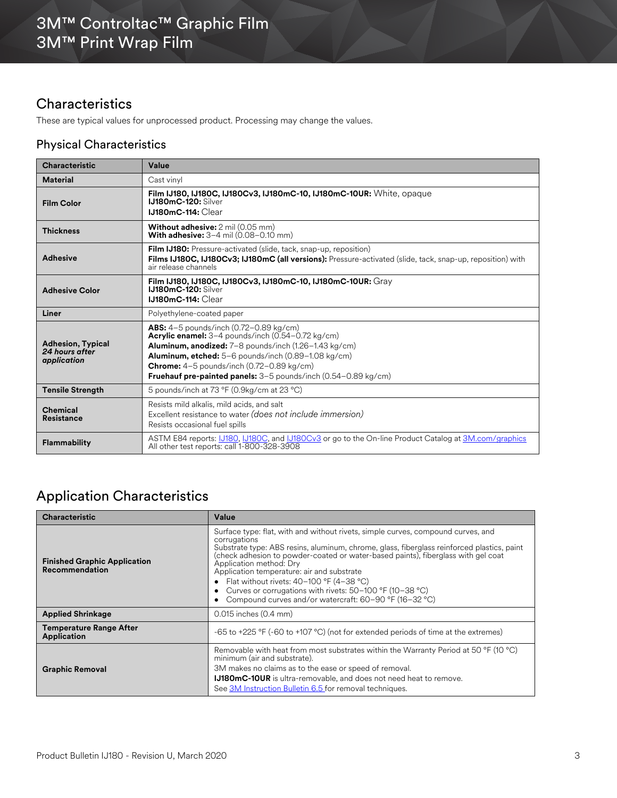## **Characteristics**

These are typical values for unprocessed product. Processing may change the values.

### Physical Characteristics

| <b>Characteristic</b>                                     | Value                                                                                                                                                                                                                                                                                                                                         |  |  |  |
|-----------------------------------------------------------|-----------------------------------------------------------------------------------------------------------------------------------------------------------------------------------------------------------------------------------------------------------------------------------------------------------------------------------------------|--|--|--|
| <b>Material</b>                                           | Cast vinyl                                                                                                                                                                                                                                                                                                                                    |  |  |  |
| <b>Film Color</b>                                         | Film IJ180, IJ180C, IJ180Cv3, IJ180mC-10, IJ180mC-10UR: White, opaque<br><b>IJ180mC-120: Silver</b><br><b>IJ180mC-114: Clear</b>                                                                                                                                                                                                              |  |  |  |
| <b>Thickness</b>                                          | Without adhesive: 2 mil (0.05 mm)<br><b>With adhesive:</b> $3-4$ mil $(0.08-0.10$ mm)                                                                                                                                                                                                                                                         |  |  |  |
| <b>Adhesive</b>                                           | <b>Film IJ180:</b> Pressure-activated (slide, tack, snap-up, reposition)<br>Films IJ180C, IJ180Cv3; IJ180mC (all versions): Pressure-activated (slide, tack, snap-up, reposition) with<br>air release channels                                                                                                                                |  |  |  |
| <b>Adhesive Color</b>                                     | Film IJ180. IJ180C. IJ180Cv3. IJ180mC-10. IJ180mC-10UR: Gray<br>IJ180mC-120: Silver<br><b>IJ180mC-114: Clear</b>                                                                                                                                                                                                                              |  |  |  |
| Liner                                                     | Polvethylene-coated paper                                                                                                                                                                                                                                                                                                                     |  |  |  |
| <b>Adhesion, Typical</b><br>24 hours after<br>application | <b>ABS:</b> $4-5$ pounds/inch $(0.72-0.89 \text{ kg/cm})$<br>Acrylic enamel: 3-4 pounds/inch (0.54-0.72 kg/cm)<br>Aluminum, anodized: 7-8 pounds/inch (1.26-1.43 kg/cm)<br>Aluminum, etched: 5-6 pounds/inch (0.89-1.08 kg/cm)<br>Chrome: 4-5 pounds/inch (0.72-0.89 kg/cm)<br>Fruehauf pre-painted panels: 3-5 pounds/inch (0.54-0.89 kg/cm) |  |  |  |
| <b>Tensile Strength</b>                                   | 5 pounds/inch at 73 °F (0.9kg/cm at 23 °C)                                                                                                                                                                                                                                                                                                    |  |  |  |
| <b>Chemical</b><br><b>Resistance</b>                      | Resists mild alkalis, mild acids, and salt<br>Excellent resistance to water (does not include immersion)<br>Resists occasional fuel spills                                                                                                                                                                                                    |  |  |  |
| Flammability                                              | ASTM E84 reports: 10180, 10180C, and 10180Cv3 or go to the On-line Product Catalog at 3M.com/graphics<br>All other test reports: call 1-800-328-3908                                                                                                                                                                                          |  |  |  |

# Application Characteristics

| <b>Characteristic</b>                                        | Value                                                                                                                                                                                                                                                                                                                                                                                                                                                                                                                            |  |  |
|--------------------------------------------------------------|----------------------------------------------------------------------------------------------------------------------------------------------------------------------------------------------------------------------------------------------------------------------------------------------------------------------------------------------------------------------------------------------------------------------------------------------------------------------------------------------------------------------------------|--|--|
| <b>Finished Graphic Application</b><br><b>Recommendation</b> | Surface type: flat, with and without rivets, simple curves, compound curves, and<br>corrugations<br>Substrate type: ABS resins, aluminum, chrome, glass, fiberglass reinforced plastics, paint<br>(check adhesion to powder-coated or water-based paints), fiberglass with gel coat<br>Application method: Dry<br>Application temperature: air and substrate<br>Flat without rivets: $40-100$ °F (4-38 °C)<br>Curves or corrugations with rivets: 50-100 °F (10-38 °C)<br>Compound curves and/or watercraft: 60-90 °F (16-32 °C) |  |  |
| <b>Applied Shrinkage</b>                                     | $0.015$ inches $(0.4$ mm)                                                                                                                                                                                                                                                                                                                                                                                                                                                                                                        |  |  |
| <b>Temperature Range After</b><br><b>Application</b>         | -65 to +225 °F (-60 to +107 °C) (not for extended periods of time at the extremes)                                                                                                                                                                                                                                                                                                                                                                                                                                               |  |  |
| <b>Graphic Removal</b>                                       | Removable with heat from most substrates within the Warranty Period at 50 °F (10 °C)<br>minimum (air and substrate).<br>3M makes no claims as to the ease or speed of removal.<br><b>IJ180mC-10UR</b> is ultra-removable, and does not need heat to remove.<br>See 3M Instruction Bulletin 6.5 for removal techniques.                                                                                                                                                                                                           |  |  |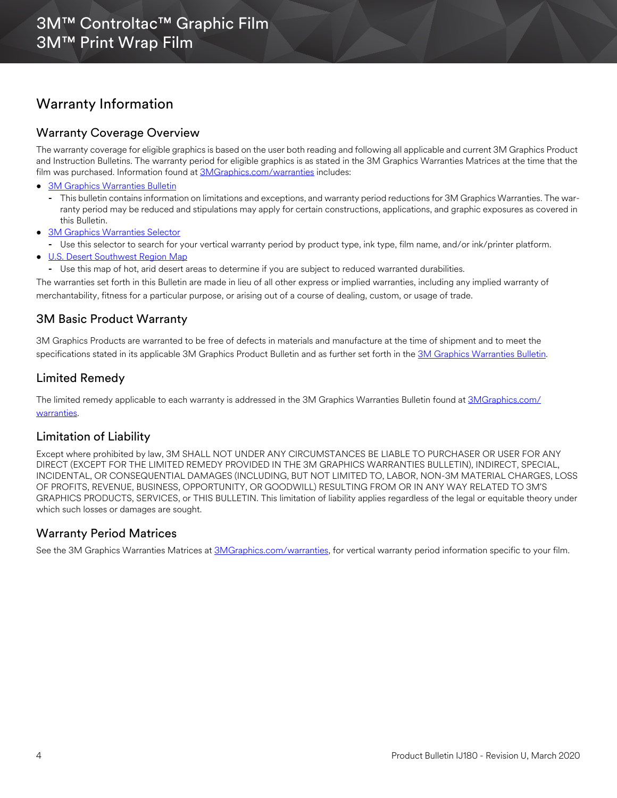## Warranty Information

### Warranty Coverage Overview

The warranty coverage for eligible graphics is based on the user both reading and following all applicable and current 3M Graphics Product and Instruction Bulletins. The warranty period for eligible graphics is as stated in the 3M Graphics Warranties Matrices at the time that the film was purchased. Information found at [3MGraphics.com/warranties](www.3mgraphics.com/warranties) includes:

- [3M Graphics Warranties Bulletin](http://multimedia.3m.com/mws/media/1034875O/3mtm-graphics-warranty-bulletin.pdf?fn=Warranty_Bulletin.pdf)
	- **-** This bulletin contains information on limitations and exceptions, and warranty period reductions for 3M Graphics Warranties. The warranty period may be reduced and stipulations may apply for certain constructions, applications, and graphic exposures as covered in this Bulletin.
- [3M Graphics Warranties Selector](http://solutions.3m.com/wps/portal/3M/en_US/Graphics/3Mgraphics/ToolsAndSupport/Warranties/?PC_Z7_RJH9U5230GE3E02LECFTDQ02P3000000_assetType=MMM_Article&PC_Z7_RJH9U5230GE3E02LECFTDQ02P3000000_assetId=1114269959113&PC_Z7_RJH9U5230GE3E02LECFTDQ02P3000000_univid=1114269959113#Z7_RJH9U5230GE3E02LECFTDQ02P3)
- **-** Use this selector to search for your vertical warranty period by product type, ink type, film name, and/or ink/printer platform.
- [U.S. Desert Southwest Region Map](http://multimedia.3m.com/mws/media/307873O/desert-southwest-region-defined.pdf?fn=Map_DSW.pdf)
	- **-** Use this map of hot, arid desert areas to determine if you are subject to reduced warranted durabilities.

The warranties set forth in this Bulletin are made in lieu of all other express or implied warranties, including any implied warranty of merchantability, fitness for a particular purpose, or arising out of a course of dealing, custom, or usage of trade.

### 3M Basic Product Warranty

3M Graphics Products are warranted to be free of defects in materials and manufacture at the time of shipment and to meet the specifications stated in its applicable 3M Graphics Product Bulletin and as further set forth in the [3M Graphics Warranties Bulletin.](http://multimedia.3m.com/mws/media/1034875O/3mtm-graphics-warranty-bulletin.pdf?fn=Warranty%20Bulletin.pdf)

### Limited Remedy

The limited remedy applicable to each warranty is addressed in the 3M Graphics Warranties Bulletin found at [3MGraphics.com/](www.3mgraphics.com/warranties) [warranties.](www.3mgraphics.com/warranties)

#### Limitation of Liability

Except where prohibited by law, 3M SHALL NOT UNDER ANY CIRCUMSTANCES BE LIABLE TO PURCHASER OR USER FOR ANY DIRECT (EXCEPT FOR THE LIMITED REMEDY PROVIDED IN THE 3M GRAPHICS WARRANTIES BULLETIN), INDIRECT, SPECIAL, INCIDENTAL, OR CONSEQUENTIAL DAMAGES (INCLUDING, BUT NOT LIMITED TO, LABOR, NON-3M MATERIAL CHARGES, LOSS OF PROFITS, REVENUE, BUSINESS, OPPORTUNITY, OR GOODWILL) RESULTING FROM OR IN ANY WAY RELATED TO 3M'S GRAPHICS PRODUCTS, SERVICES, or THIS BULLETIN. This limitation of liability applies regardless of the legal or equitable theory under which such losses or damages are sought.

#### Warranty Period Matrices

See the 3M Graphics Warranties Matrices at [3MGraphics.com/warranties,](http://solutions.3m.com/wps/portal/3M/en_US/Graphics/3Mgraphics/ToolsandSupport/Warranties/?WT.mc_id=www.3mgraphics.com/warranties) for vertical warranty period information specific to your film.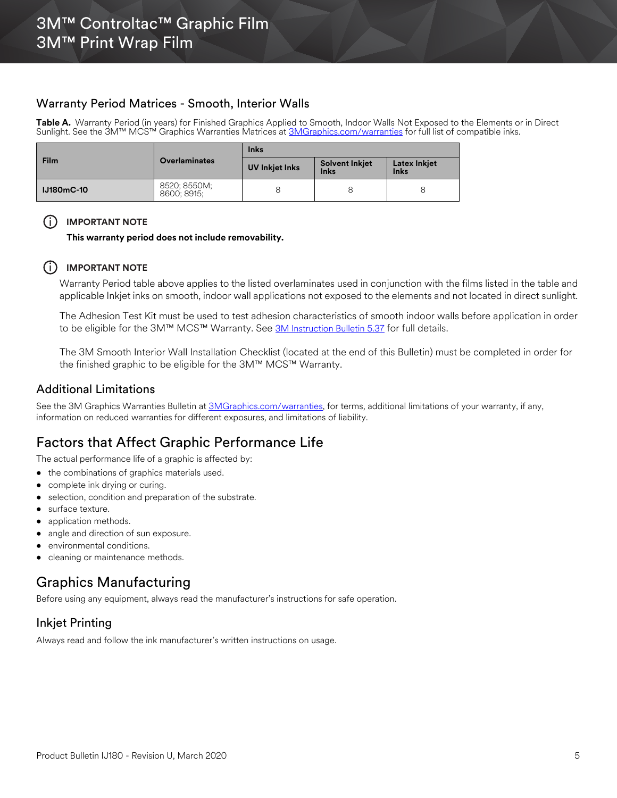#### Warranty Period Matrices - Smooth, Interior Walls

**Table A.** Warranty Period (in years) for Finished Graphics Applied to Smooth, Indoor Walls Not Exposed to the Elements or in Direct Sunlight. See the 3M™ MCS™ Graphics Warranties Matrices at <u>3MGraphics.com/warranties</u> for full list of compatible inks.

|           |                             | <b>Inks</b>    |                                      |                                    |
|-----------|-----------------------------|----------------|--------------------------------------|------------------------------------|
| Film      | <b>Overlaminates</b>        | UV Inkjet Inks | <b>Solvent Inkjet</b><br><b>Inks</b> | <b>Latex Inkjet</b><br><b>Inks</b> |
| U180mC-10 | 8520; 8550M;<br>8600: 8915: |                | 8                                    |                                    |

#### (i) **IMPORTANT NOTE**

**This warranty period does not include removability.**

#### $(i)$  **IMPORTANT NOTE**

Warranty Period table above applies to the listed overlaminates used in conjunction with the films listed in the table and applicable Inkjet inks on smooth, indoor wall applications not exposed to the elements and not located in direct sunlight.

The Adhesion Test Kit must be used to test adhesion characteristics of smooth indoor walls before application in order to be eligible for the 3M™ MCS™ Warranty. See [3M Instruction Bulletin 5.37](http://multimedia.3m.com/mws/media/241610O/5-37-application-guide-to-smooth-and-textured-walls.pdf) for full details.

The 3M Smooth Interior Wall Installation Checklist (located at the end of this Bulletin) must be completed in order for the finished graphic to be eligible for the 3M™ MCS™ Warranty.

#### Additional Limitations

See the 3M Graphics Warranties Bulletin at [3MGraphics.com/warranties](http://solutions.3m.com/wps/portal/3M/en_US/Graphics/3Mgraphics/ToolsandSupport/Warranties/?WT.mc_id=www.3mgraphics.com/warranties), for terms, additional limitations of your warranty, if any, information on reduced warranties for different exposures, and limitations of liability.

## Factors that Affect Graphic Performance Life

The actual performance life of a graphic is affected by:

- the combinations of graphics materials used.
- complete ink drying or curing.
- selection, condition and preparation of the substrate.
- surface texture.
- application methods.
- angle and direction of sun exposure.
- environmental conditions.
- cleaning or maintenance methods.

## Graphics Manufacturing

Before using any equipment, always read the manufacturer's instructions for safe operation.

#### Inkjet Printing

Always read and follow the ink manufacturer's written instructions on usage.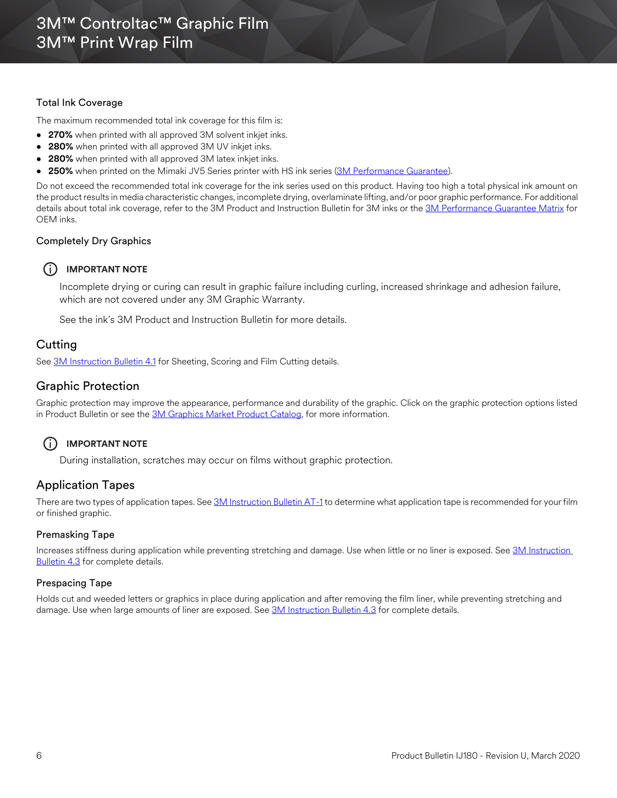#### Total Ink Coverage

The maximum recommended total ink coverage for this film is:

- **270%** when printed with all approved 3M solvent inkjet inks.
- **280%** when printed with all approved 3M UV inkjet inks.
- **280%** when printed with all approved 3M latex inkjet inks.
- **250%** when printed on the Mimaki JV5 Series printer with HS ink series [\(3M Performance Guarantee\)](www.3mgraphics.com/warranties).

Do not exceed the recommended total ink coverage for the ink series used on this product. Having too high a total physical ink amount on the product results in media characteristic changes, incomplete drying, overlaminate lifting, and/or poor graphic performance. For additional details about total ink coverage, refer to the 3M Product and Instruction Bulletin for 3M inks or the [3M Performance Guarantee Matrix](www.3mgraphics.com/warranties) for OEM inks.

#### Completely Dry Graphics

#### i **IMPORTANT NOTE**

Incomplete drying or curing can result in graphic failure including curling, increased shrinkage and adhesion failure, which are not covered under any 3M Graphic Warranty.

See the ink's 3M Product and Instruction Bulletin for more details.

### **Cutting**

See [3M Instruction Bulletin 4.1](http://multimedia.3m.com/mws/media/12586O/4-1-scoring-and-cutting.pdf) for Sheeting, Scoring and Film Cutting details.

#### Graphic Protection

Graphic protection may improve the appearance, performance and durability of the graphic. Click on the graphic protection options listed in Product Bulletin or see the [3M Graphics Market Product Catalog](http://multimedia.3m.com/mws/media/443279O/inkjet-catalog-lowres.pdf), for more information.

#### i **IMPORTANT NOTE**

During installation, scratches may occur on films without graphic protection.

#### Application Tapes

There are two types of application tapes. See [3M Instruction Bulletin AT-1](http://multimedia.3m.com/mws/media/1032943O/instruction-bulletin-at-1-application-tables.pdf) to determine what application tape is recommended for your film or finished graphic.

#### Premasking Tape

Increases stiffness during application while preventing stretching and damage. Use when little or no liner is exposed. See [3M Instruction](http://multimedia.3m.com/mws/media/12587O/4-3-application-tapes-premasking-and-prespacing.pdf)  **Bulletin 4.3** for complete details.

#### Prespacing Tape

Holds cut and weeded letters or graphics in place during application and after removing the film liner, while preventing stretching and damage. Use when large amounts of liner are exposed. See [3M Instruction Bulletin 4.3](http://multimedia.3m.com/mws/media/12587O/4-3-application-tapes-premasking-and-prespacing.pdf) for complete details.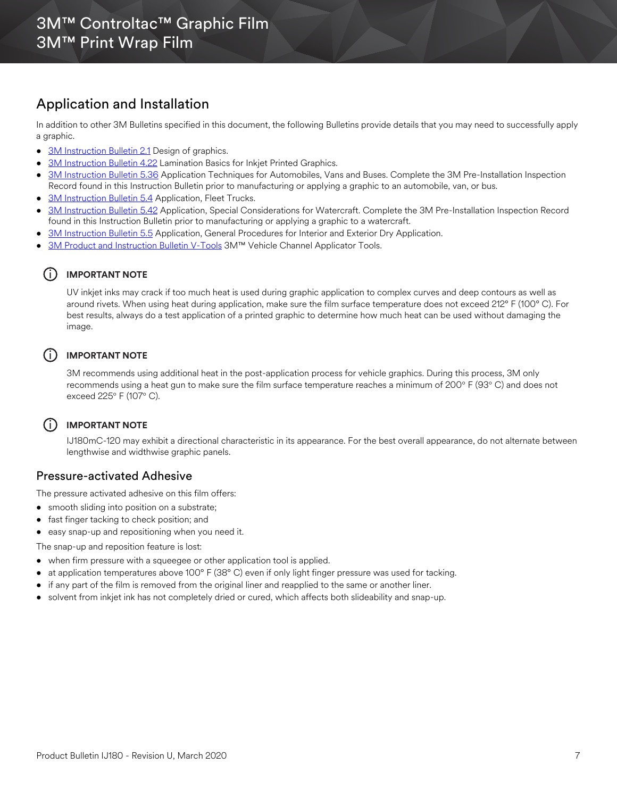## Application and Installation

In addition to other 3M Bulletins specified in this document, the following Bulletins provide details that you may need to successfully apply a graphic.

- [3M Instruction Bulletin 2.1](http://multimedia.3m.com/mws/media/12591O/2-1-design-of-graphics.pdf) Design of graphics.
- [3M Instruction Bulletin 4.22](http://multimedia.3m.com/mws/media/12768O/4-22-lamination-cold-roll.pdf) Lamination Basics for Inkjet Printed Graphics.
- [3M Instruction Bulletin 5.36](http://multimedia.3m.com/mws/media/100373O/5-36-application-techniques-for-automobiles-vans-and-buses.pdf) Application Techniques for Automobiles, Vans and Buses. Complete the 3M Pre-Installation Inspection Record found in this Instruction Bulletin prior to manufacturing or applying a graphic to an automobile, van, or bus.
- [3M Instruction Bulletin 5.4](http://multimedia.3m.com/mws/media/12597O/5-4-application-of-film-to-vehicles-special-applications.pdf) Application, Fleet Trucks.
- [3M Instruction Bulletin 5.42](http://multimedia.3m.com/mws/media/503711O/application-special-considerations-for-watercraft.pdf) Application, Special Considerations for Watercraft. Complete the 3M Pre-Installation Inspection Record found in this Instruction Bulletin prior to manufacturing or applying a graphic to a watercraft.
- [3M Instruction Bulletin 5.5](https://multimedia.3m.com/mws/media/9620O/5-5-application-dry-method.pdf) Application, General Procedures for Interior and Exterior Dry Application.
- [3M Product and Instruction Bulletin V-Tools](https://multimedia.3m.com/mws/media/471744O/vehicle-channel-applicator-tools-vcat-2-roller-l-roller-s.pdf) 3M™ Vehicle Channel Applicator Tools.

#### i **IMPORTANT NOTE**

UV inkjet inks may crack if too much heat is used during graphic application to complex curves and deep contours as well as around rivets. When using heat during application, make sure the film surface temperature does not exceed 212° F (100° C). For best results, always do a test application of a printed graphic to determine how much heat can be used without damaging the image.

#### (i) **IMPORTANT NOTE**

3M recommends using additional heat in the post-application process for vehicle graphics. During this process, 3M only recommends using a heat gun to make sure the film surface temperature reaches a minimum of 200° F (93° C) and does not exceed 225° F (107° C).

#### i **IMPORTANT NOTE**

IJ180mC-120 may exhibit a directional characteristic in its appearance. For the best overall appearance, do not alternate between lengthwise and widthwise graphic panels.

#### Pressure-activated Adhesive

The pressure activated adhesive on this film offers:

- smooth sliding into position on a substrate;
- fast finger tacking to check position; and
- easy snap-up and repositioning when you need it.
- The snap-up and reposition feature is lost:
- when firm pressure with a squeegee or other application tool is applied.
- at application temperatures above 100° F (38° C) even if only light finger pressure was used for tacking.
- if any part of the film is removed from the original liner and reapplied to the same or another liner.
- solvent from inkjet ink has not completely dried or cured, which affects both slideability and snap-up.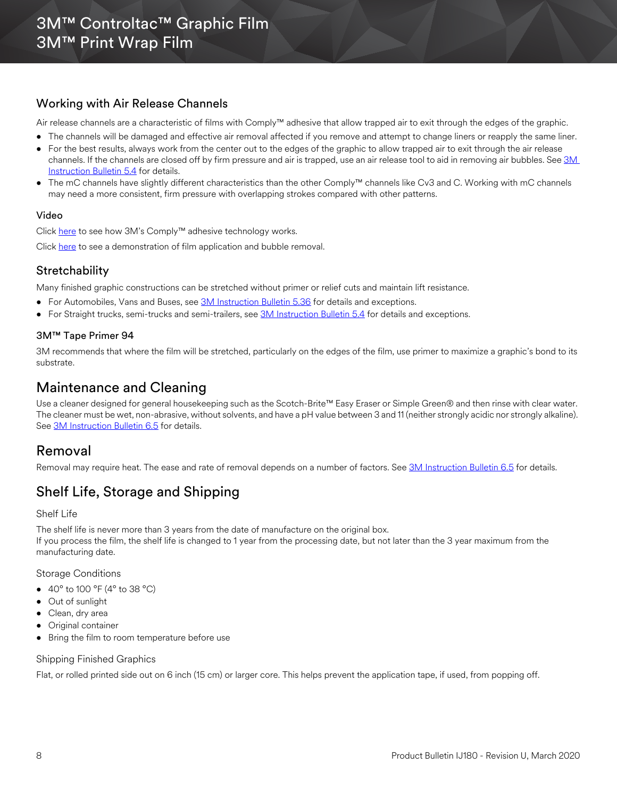### Working with Air Release Channels

Air release channels are a characteristic of films with Comply™ adhesive that allow trapped air to exit through the edges of the graphic.

- The channels will be damaged and effective air removal affected if you remove and attempt to change liners or reapply the same liner.
- For the best results, always work from the center out to the edges of the graphic to allow trapped air to exit through the air release channels. If the channels are closed off by firm pressure and air is trapped, use an air release tool to aid in removing air bubbles. See 3M [Instruction Bulletin 5.4](http://multimedia.3m.com/mws/media/12597O/5-4-application-of-film-to-vehicles-special-applications.pdf) for details.
- The mC channels have slightly different characteristics than the other Comply™ channels like Cv3 and C. Working with mC channels may need a more consistent, firm pressure with overlapping strokes compared with other patterns.

#### Video

Click [here](http://multimedia.3m.com/mws/media/885563O/3ms-complytm-adhesive-for-bubble-free-installations-video.mp4) to see how 3M's Comply™ adhesive technology works.

[Click](https://multimedia.3m.com/mws/media/1449809O/3m-wrap-film-squeegee-application-and-bubble-removal.mp4) here to see a demonstration of film application and bubble removal.

### **Stretchability**

Many finished graphic constructions can be stretched without primer or relief cuts and maintain lift resistance.

- For Automobiles, Vans and Buses, see [3M Instruction Bulletin 5.36](http://multimedia.3m.com/mws/media/100373O/5-36-application-techniques-for-automobiles-vans-and-buses.pdf) for details and exceptions.
- For Straight trucks, semi-trucks and semi-trailers, see [3M Instruction Bulletin 5.4](http://multimedia.3m.com/mws/media/12597O/5-4-application-of-film-to-vehicles-special-applications.pdf) for details and exceptions.

#### 3M™ Tape Primer 94

3M recommends that where the film will be stretched, particularly on the edges of the film, use primer to maximize a graphic's bond to its substrate.

## Maintenance and Cleaning

Use a cleaner designed for general housekeeping such as the Scotch-Brite™ Easy Eraser or Simple Green® and then rinse with clear water. The cleaner must be wet, non-abrasive, without solvents, and have a pH value between 3 and 11 (neither strongly acidic nor strongly alkaline). See [3M Instruction Bulletin 6.5](http://multimedia.3m.com/mws/media/12593O/6-5-storage-handling-maintenance-removal-of-films-sheetings.pdf) for details.

## Removal

Removal may require heat. The ease and rate of removal depends on a number of factors. See [3M Instruction Bulletin 6.5](http://multimedia.3m.com/mws/media/12593O/6-5-storage-handling-maintenance-removal-of-films-sheetings.pdf) for details.

## Shelf Life, Storage and Shipping

#### Shelf Life

The shelf life is never more than 3 years from the date of manufacture on the original box. If you process the film, the shelf life is changed to 1 year from the processing date, but not later than the 3 year maximum from the manufacturing date.

#### Storage Conditions

- 40 $\degree$  to 100  $\degree$ F (4 $\degree$  to 38  $\degree$ C)
- Out of sunlight
- Clean, dry area
- Original container
- Bring the film to room temperature before use

#### Shipping Finished Graphics

Flat, or rolled printed side out on 6 inch (15 cm) or larger core. This helps prevent the application tape, if used, from popping off.